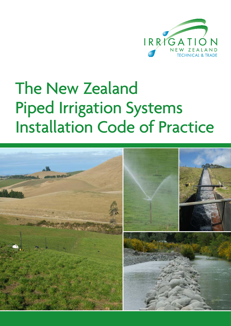

# The New Zealand Piped Irrigation Systems Installation Code of Practice

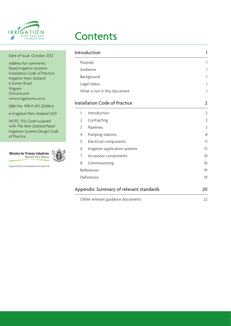

## **Contents**

| Date of Issue: October 2012                                | Introduction                            |                   |
|------------------------------------------------------------|-----------------------------------------|-------------------|
| Address for comments:<br><b>Piped Irrigation Systems</b>   | Purpose                                 |                   |
|                                                            | Audience                                |                   |
| Installation Code of Practice<br>Irrigation New Zealand    | Background                              |                   |
| 6 Sonter Road                                              | Legal status                            |                   |
| Wigram<br>Christchurch                                     | What is not in this document            |                   |
| www.irrigationnz.co.nz<br>ISBN No. 978-0-473-25348-6       | <b>Installation Code of Practice</b>    | $\overline{2}$    |
| © Irrigation New Zealand 2013                              | Introduction                            | $\overline{2}$    |
| NOTE: This Code is paired                                  | Contracting<br>2                        | 2                 |
| with The New Zealand Piped                                 | Pipelines<br>3                          | 3                 |
| Irrigation Systems Design Code<br>of Practice.             | Pumping stations<br>4                   | 8                 |
|                                                            | 5<br>Electrical components              | 11                |
|                                                            | Irrigation application systems<br>6     | $12 \overline{ }$ |
| <b>Ministry for Primary Industries</b><br>Manatū Ahu Matua | 7<br>Accessory components               | 14                |
|                                                            | 8<br>Commissioning                      | 16                |
| Supported by Sustainable Farming Fund                      | References                              | 19                |
|                                                            | Definitions                             | 19                |
|                                                            | Appendix: Summary of relevant standards | 20                |
|                                                            | Other relevant guidance documents       | 22                |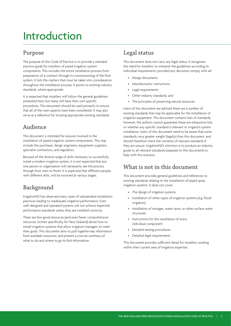## Introduction

### Purpose

The purpose of this Code of Practice is to provide a standard practice guide for installers of piped irrigation system components. This includes the entire installation process from preparation of a contract through to commissioning of the final system. It lists the matters that must be taken into consideration throughout the installation process. It points to existing industry standards, where appropriate.

It is expected that installers will follow the general guidelines presented here, but many will have their own specific procedures. This document should be used primarily to ensure that all of the main aspects have been considered. It may also serve as a reference for locating appropriate existing standards.

### Audience

This document is intended for anyone involved in the installation of piped irrigation system components. This may include the purchaser, design engineers, equipment suppliers, specialist contractors, and regulators.

Because of the diverse range of skills necessary to successfully install a modern irrigation system, it is not expected that any one person or organisation will necessarily see the process through from start to finish. It is expected that different people, with different skills, will be involved at various stages.

### Background

IrrigationNZ has observed many cases of substandard installation practices leading to inadequate irrigation performance. Even well-designed and operated systems will not achieve expected performance standards unless they are installed correctly.

There are few good resources (and even fewer comprehensive resources written specifically for New Zealand) about how to install irrigation systems that allow irrigation managers to meet their goals. This document aims to pull together key information from available resources, and present a concise summary of what to do and where to go to find information.

### Legal status

This document does not carry any legal status. It recognises the need for installers to interpret the guidelines according to individual requirements, provided any decisions comply with all:

- Design documents
- Manufacturers' instructions
- Legal requirements
- Other industry standards, and
- The principles of preserving natural resources

Users of this document are advised there are a number of existing standards that may be applicable for the installation of irrigation equipment. This document contains lists of standards, however, the authors cannot guarantee these are exhaustive lists or whether any specific standard is relevant to irrigation system installation. Users of this document need to be aware that some standards carry greater weight (legally) than this document, and should therefore check the contents of relevant standards if they are unsure. IrrigationNZ's intention is to produce an industry guide to all relevant standards (separate to this document) to help with this scenario.

### What is not in this document

This document provides general guidelines and references to existing standards relating to the installation of piped spray irrigation systems. It does not cover:

- The design of irrigation systems
- Installation of other types of irrigation systems (e.g. flood irrigation)
- Installation of storages, water races, or other surface water structures
- • Instructions for the installation of every individual component
- Detailed testing procedures
- Detailed legal requirements

This document provides sufficient detail for installers working within their current area of irrigation expertise.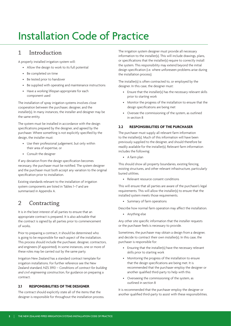## Installation Code of Practice

### 1 Introduction

A properly installed irrigation system will:

- Allow the design to work to its full potential
- • Be completed on time
- • Be tested prior to handover
- • Be supplied with operating and maintenance instructions
- Have a working lifespan appropriate for each component used

The installation of spray irrigation systems involves close cooperation between the purchaser, designer, and the installer(s). In many instances, the installer and designer may be the same entity.

The system must be installed in accordance with the design specifications prepared by the designer, and agreed by the purchaser. Where something is not explicitly specified by the design, the installer must:

- Use their professional judgement, but only within their area of expertise, or
- • Consult the designer

If any deviation from the design specification becomes necessary, the purchaser must be notified. The system designer and the purchaser must both accept any variation to the original specification prior to installation.

Existing standards relevant to the installation of irrigation system components are listed in Tables 1–7 and are summarised in Appendix A.

### 2 Contracting

It is in the best interest of all parties to ensure that an appropriate contract is prepared. It is also advisable that the contract is signed by all parties prior to commencement of works.

Prior to preparing a contract, it should be determined who is going to be responsible for each aspect of the installation. This process should include the purchaser, designer, contractors, and engineers (if appointed). In some instances, one or more of these roles may be carried out by the same party.

Irrigation New Zealand has a standard contract template for irrigation installations. For further reference see the New Zealand standard, NZS 3910 – *Conditions of contract for building and civil engineering construction*, for guidance on preparing a contract.

### **2.1 RESPONSIBILITIES OF THE DESIGNER**

The contract should explicitly state all of the items that the designer is responsible for throughout the installation process. The irrigation system designer must provide all necessary information to the installer(s). This will include drawings, plans, or specifications that the installer(s) require to correctly install the system. This responsibility may extend beyond the initial design specification (i.e. where unforeseen problems arise during the installation process).

The installer(s) is often contracted to, or employed by the designer. In this case, the designer must:

- Ensure that the installer(s) has the necessary relevant skills prior to starting work
- Monitor the progress of the installation to ensure that the design specifications are being met
- Oversee the commissioning of the system, as outlined in section 8

### **2.2 RESPONSIBILITIES OF THE PURCHASER**

The purchaser must supply all relevant farm information to the installer(s). Much of this information will have been previously supplied to the designer, and should therefore be readily available for the installer(s). Relevant farm information includes the following:

• A farm plan

This should show all property boundaries, existing fencing, existing structures, and other relevant infrastructure, particularly buried utilities.

• Relevant resource consent conditions

This will ensure that all parties are aware of the purchaser's legal requirements. This will allow the installer(s) to ensure that the installed system meets those requirements.

• Summary of farm operations

Describe how normal farm operation may affect the installation.

• Anything else

Any other site specific information that the installer requests or the purchaser feels is necessary to provide.

Sometimes, the purchaser may obtain a design from a designer, and decide to contract their own installer(s). In this case, the purchaser is responsible for:

- Ensuring that the installer(s) have the necessary relevant skills prior to starting work
- • Monitoring the progress of the installation to ensure that the design specifications are being met. It is recommended that the purchaser employ the designer or another qualified third-party to help with this
- Overseeing the commissioning of the system, as outlined in section 8

It is recommended that the purchaser employ the designer or another qualified third-party to assist with these responsibilities.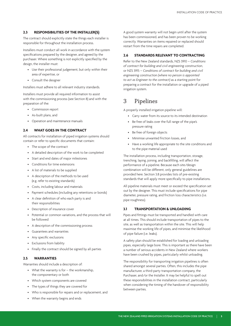### **2.3 RESPONSIBILITIES OF THE INSTALLER(S)**

The contract should explicitly state the things each installer is responsible for throughout the installation process.

Installers must conduct all work in accordance with the system specifications prepared by the designer, and agreed by the purchaser. Where something is not explicitly specified by the design, the installer must:

- Use their professional judgement, but only within their area of expertise, or
- • Consult the designer

Installers must adhere to all relevant industry standards.

Installers must provide all required information to assist with the commissioning process (see Section 8) and with the preparation of the:

- • Commission report
- As-built plans, and
- Operation and maintenance manuals

### **2.4 WHAT GOES IN THE CONTRACT**

All contracts for installation of piped irrigation systems should contain or refer to specific documents that contain:

- • The scope of the contract
- • A detailed description of the work to be completed
- • Start and end dates of major milestones
- • Conditions for time extensions
- • A list of materials to be supplied
- • A description of the methods to be used (e.g. refer to existing standards)
- • Costs, including labour and materials
- • Payment schedules (including any retentions or bonds)
- • A clear definition of who each party is and their responsibilities
- • Description of insurance cover
- Potential or common variations, and the process that will be followed
- • A description of the commissioning process
- • Guarantees and warranties
- • Any specific exclusions
- **Exclusions from liability**
- Finally the contract should be signed by all parties

### **2.5 WARRANTIES**

Warranties should include a description of:

- What the warranty is for the workmanship. the componentary or both
- • Which system components are covered
- The types of things they are covered for
- Who is responsible for repairs and or replacement, and
- • When the warranty begins and ends

A good system warranty will not begin until after the system has been commissioned, and has been proven to be working correctly. Warranties on items repaired or replaced should restart from the time repairs are completed.

### **2.6 STANDARDS RELEVANT TO CONTRACTING**

Refer to the New Zealand standards, NZS 3910 – *Conditions of contract for building and civil engineering construction*, or NZS 3915 – *Conditions of contract for building and civil engineering construction (where no person is appointed to act as Engineer to the contract)* as a starting point for preparing a contract for the installation or upgrade of a piped irrigation system.

### 3 Pipelines

A properly installed irrigation pipeline will:

- • Carry water from its source to its intended destination
- Be free of leaks over the full range of the pipe's pressure rating
- Be free of foreign objects
- Minimise unwanted friction losses, and
- Have a working life appropriate to the site conditions and to the pipe material used

The installation process, including transportation, storage, trenching, laying, joining, and backfilling, will affect the performance of a pipeline. Because each site/design combination will be different, only general guidelines are provided here. Section 3.8 provides lists of pre-existing standards that will apply more specifically to pipe installations.

All pipeline materials must meet or exceed the specification set out by the designer. This must include specifications for pipe diameter, pressure rating, and friction loss characteristics (i.e. pipe roughness).

### **3.1 TRANSPORTATION & UNLOADING**

Pipes and fittings must be transported and handled with care at all times. This should include transportation of pipes to the site, as well as transportation within the site. This will help maximise the working life of pipes, and minimise the likelihood of pipe failure (i.e. leaks).

A safety plan should be established for loading and unloading pipes, especially large bore. This is important as there have been a number of serious accidents in New Zealand where workers have been crushed by pipes, particularly whilst unloading.

The responsibility for transporting irrigation pipelines is often shared amongst several parties. Often, this includes the pipe manufacturer, a third-party transportation company, the Purchaser, and/or the Installer. It may be helpful to spell out these responsibilities in the installation contract, particularly when considering the timing of the handover of responsibility between parties.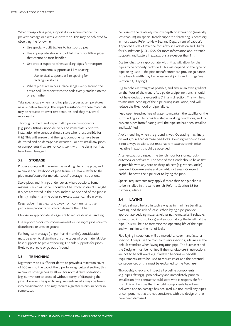When transporting pipe, support it in a secure manner to prevent damage or excessive distortion. This may be achieved by observing the following:

- • Use specially built trailers to transport pipes
- Use appropriate straps or padded chains for lifting pipes that cannot be man-handled
- • Use proper supports when stacking pipes for transport
	- Use horizontal supports at 1.5 m spacing
	- Use vertical supports at 3 m spacing for rectangular stacks
- • Where pipes are in coils, place slings evenly around the entire coil. Transport with the coils evenly stacked on top of each other

Take special care when handling plastic pipes at temperatures near or below freezing. The impact resistance of these materials may be reduced at lower temperatures, and they may crack more easily.

Thoroughly check and inspect all pipeline components (e.g. pipes, fittings) upon delivery and immediately prior to installation (the contract should state who is responsible for this). This will ensure that the right components have been delivered and no damage has occurred. Do not install any pipes or components that are not consistent with the design or that have been damaged.

### **3.2 STORAGE**

Proper storage will maximise the working life of the pipe, and minimise the likelihood of pipe failure (i.e. leaks). Refer to the pipe manufacture for material-specific storage instructions.

Store pipes and fittings under cover, where possible. Some materials, such as rubber, should not be stored in direct sunlight. If pipes are stored in the open, make sure one end of the pipe is slightly higher than the other so excess water can drain away.

Keep rubber rings clean and away from contaminants like petroleum products, which can degrade the rubber.

Choose an appropriate storage site to reduce double handling.

Use support blocks to stop movement or rolling of pipes due to disturbance or uneven ground.

For long-term storage (longer than 6 months), consideration must be given to distortion of some types of pipe material. Use base supports to prevent bowing. Use side supports for pipes likely to elongate or go out of round.

### **3.3 TRENCHING**

Dig trenches to a sufficient depth to provide a minimum cover of 600 mm to the top of the pipe. In an agricultural setting, this minimum cover generally allows for normal farm operations (e.g. cultivation) to proceed without worry of disrupting the pipe. However, site specific requirements must always be taken into consideration. This may require a greater minimum cover in some cases.

Because of the relatively shallow depth of excavation (generally less than 1m), no special trench support or battering is necessary in most cases. Refer to New Zealand Department of Labour's Approved Code of Practice for Safety in Excavation and Shafts for Foundations (OSH, 1995) for more information about trench supports and batters if excavations are deeper than 1 m.

Dig trenches to an appropriate width that will allow for the pipes to be properly backfilled. This will depend on the type of pipe being used – the pipe manufacturer can provide guidance. Extra trench width may be necessary at joints and fittings (see Section 3.4, "Laying").

Dig trenches as straight as possible, and ensure an even gradient on the floor of the trench. As a guide, a pipeline trench should not have deviations exceeding 3° in any direction. This will help to minimise bending of the pipe during installation, and will reduce the likelihood of pipe failure.

Keep open trenches free of water to maintain the stability of the surrounding soil, to provide suitable working conditions, and to prevent pipes from floating until the pipeline has been installed and backfilled.

Avoid trenching when the ground is wet. Operating machinery on wet ground can damage paddocks. Avoiding wet conditions is not always possible, but reasonable measures to minimise negative impacts should be observed.

After excavation, inspect the trench floor for stones, rocky outcrops, or soft areas. The base of the trench should be as flat as possible with any hard or sharp objects (e.g. stones, sticks) removed. Over-excavate and back-fill soft areas. Compact backfill beneath the pipe prior to laying the pipe.

Special requirements may apply if more than one pipeline is to be installed in the same trench. Refer to Section 3.8 for further guidance.

### **3.4 LAYING**

All pipe should be laid in such a way as to minimise bending, twisting, and the risk of leaks. When laying pipe, provide appropriate bedding material (either native material if suitable, or imported if not suitable) and support along the length of the pipe. This will help to maximise the operating life of the pipe and will minimise the risk of leaks.

Pipe laying instructions will be material and/or manufacturer specific. Always use the manufacturer's specific guidelines as the default standard when laying irrigation pipe. The Purchaser and the Designer must be notified if the manufacturer's instructions are not to be followed (e.g. if relaxed bedding or backfill requirements are to be used to reduce cost), and the potential consequences of this must be explained to the Purchaser.

Thoroughly check and inspect all pipeline components (e.g. pipes, fittings) upon delivery and immediately prior to installation (the contract should state who is responsible for this). This will ensure that the right components have been delivered and no damage has occurred. Do not install any pipes or components that are not consistent with the design or that have been damaged.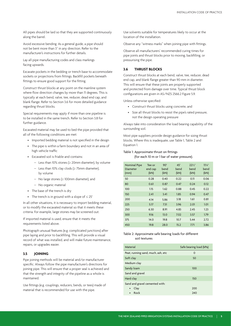All pipes should be laid so that they are supported continuously along the barrel.

Avoid excessive bending. As a general guide, a pipe should not be bent more than 3˚ in any direction. Refer to the manufacturer's instructions for further details.

Lay all pipe manufacturing codes and class markings facing upwards.

Excavate pockets in the bedding or trench base to accommodate sockets or projections from fittings. Backfill pockets beneath fittings to ensure good support for the fitting.

Construct thrust blocks at any point on the mainline system where flow direction changes by more than 11 degrees. This is typically at each bend, valve, tee, reducer, dead end cap, and blank flange. Refer to Section 3.6 for more detailed guidance regarding thrust blocks.

Special requirements may apply if more than one pipeline is to be installed in the same trench. Refer to Section 3.8 for further guidance.

Excavated material may be used to bed the pipe provided that all of the following conditions are met:

- Imported bedding material is not specified in the design
- The pipe is within a farm boundary and not in an area of high vehicle traffic
- • Excavated soil is friable and contains:
	- Less than 10% stones (≥ 20mm diameter), by volume
	- Less than 10% clay clods (≥ 75mm diameter), by volume
	- No large stones (≥ 100mm diameter), and
	- No organic material
- The base of the trench is dry
- The trench is in ground with a slope of  $\leq 25^\circ$

In all other situations, it is necessary to import bedding material, or to modify the excavated material so that it meets these criteria. For example, large stones may be screened out.

If imported material is used, ensure that it meets the requirements listed above.

Photograph unusual features (e.g. complicated junctions) after pipe laying and prior to backfilling. This will provide a visual record of what was installed, and will make future maintenance, repairs, or upgrades easier.

### **3.5 JOINING**

Pipe joining methods will be material and/or manufacturer specific. Always follow the pipe manufacturer's directions for joining pipe. This will ensure that a proper seal is achieved and that the strength and integrity of the pipeline as a whole is maintained.

Use fittings (e.g. couplings, reducers, bends, or tees) made of material that is recommended for use with the pipe.

Use solvents suitable for temperatures likely to occur at the location of the installation.

Observe any "witness marks" when joining pipe with fittings.

Observe all manufacturers' recommended curing times for pipe joints and thrust blocks prior to moving, backfilling, or pressurising the pipe.

### **3.6 THRUST BLOCKS**

Construct thrust blocks at each bend, valve, tee, reducer, dead end cap, and blank flange greater than 90 mm in diameter. This will ensure that these joints are properly supported and protected from damage over time. Typical thrust block configurations are given in AS/NZS 2566.2 Figure 5.9.

Unless otherwise specified:

- • Construct thrust blocks using concrete, and
- Size all thrust blocks to resist the pipe's rated pressure, not the design operating pressure

Always take into consideration the load bearing capability of the surrounding soil.

Most pipe suppliers provide design guidance for sizing thrust blocks. Where this is inadequate, use Table 1, Table 2 and Equation 1.

### Table 1: Approximate thrust on fittings

(for each 10 m or 1 bar of water pressure).

| <b>Nominal Pipe</b><br><b>Diameter</b><br>(mm) | Tee or<br>end cap<br>(kN) | $90^\circ$<br>bend<br>(kN) | $45^\circ$<br>bend<br>(kN) | $22\frac{1}{2}$<br>bend<br>(kN) | $11\frac{1}{4}$ °<br>bend<br>(kN) |
|------------------------------------------------|---------------------------|----------------------------|----------------------------|---------------------------------|-----------------------------------|
| 50                                             | 0.28                      | 0.40                       | 0.22                       | 0.11                            | 0.06                              |
| 80                                             | 0.61                      | 0.87                       | 0.47                       | 0.24                            | 0.12                              |
| 100                                            | 1.15                      | 1.62                       | 0.88                       | 0.45                            | 0.22                              |
| 150                                            | 2.41                      | 3.41                       | 1.85                       | 0.94                            | 0.47                              |
| 200                                            | 4.14                      | 5.86                       | 3.18                       | 1.61                            | 0.81                              |
| 225                                            | 5.17                      | 7.31                       | 3.96                       | 2.01                            | 1.01                              |
| 250                                            | 6.30                      | 8.91                       | 4.83                       | 2.45                            | 1.23                              |
| 300                                            | 9.16                      | 13.0                       | 7.02                       | 3.57                            | 1.79                              |
| 375                                            | 14.0                      | 19.8                       | 10.7                       | 5.44                            | 2.72                              |
| 450                                            | 19.8                      | 28.0                       | 15.2                       | 7.71                            | 3.86                              |

### Table 2: Approximate safe bearing loads for different soil textures

| Material                           | Safe bearing load (kPa) |  |
|------------------------------------|-------------------------|--|
| Peat, running sand, much, ash, etc | O                       |  |
| Soft clay                          | 50                      |  |
| Medium clay                        |                         |  |
| Sandy loam                         | 100                     |  |
| Sand and gravel                    |                         |  |
| Hard clay                          | 150                     |  |
| Sand and gravel cemented with:     |                         |  |
| Clay<br>$\bullet$                  | 200                     |  |
| Rock<br>$\bullet$                  | 240                     |  |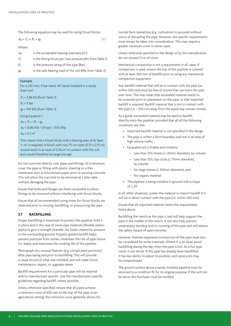The following equation may be used for sizing thrust blocks:

$$
A_b = T_1 \times P_r \div q_b \tag{1}
$$

Where:

 $A_b$  is the acceptable bearing load area (m<sup>2</sup>)

*T1* is the fitting thrust per 1 bar pressure (kN, from Table 1)

*P<sub>r</sub>* is the pressure rating of the pipe (Bar)

*qb* is the safe bearing load of the soil (kPa, from Table 2)

#### Example

For a 200 mm, 9 bar rated, 90° bend installed in a sandy loam soil:

*T1* = 5.86 kN (from Table 1)

*Pr* = 9 bar

*qb* = 100 kPa (from Table 2)

Using Equation 1:

$$
A_b = T_1 \times P_r \div q_b
$$

*Ab* = (5.86 kN) × (9 bar) ÷ (100 kPa)

$$
A_b = 0.5 \text{ m}^2
$$

This means that a thrust block with a bearing area of at least  $\frac{1}{2}$  m<sup>2</sup> is required. A block with two 75 cm sides (0.75 x 0.75 m) would result in an area of 0.56  $m<sup>2</sup>$  in contact with the soil, and would therefore be large enough.

Do not concrete directly over pipes and fittings. At a minimum, cover the pipe or fitting with plastic sheeting or a thin membrane such as bituminised paper prior to pouring concrete. This will allow the concrete to be removed at a later date without damaging the pipe.

Ensure that bolts and flanges are freely accessible to allow fittings to be removed without interfering with thrust blocks.

Ensure that all recommended curing times for thrust blocks are observed prior to moving, backfilling, or pressurising the pipe.

### **3.7 BACKFILLING**

Proper backfilling is important to protect the pipeline, hold it in place and in the case of some pipe materials (flexible plastic pipes) to give it strength (transfer the loads created by pressure to the surrounding ground. Properly graded backfill helps prevent puncture from stones, minimises the risk of pipe failure (i.e. leaks), and maximises the working life of the pipeline.

Photograph any unusual features (e.g. complicated junctions) after pipe laying and prior to backfilling. This will provide a visual record of what was installed, and will make future maintenance, repairs, or upgrades easier.

Backfill requirements for a particular pipe will be material and/or manufacturer specific. Use the manufacturer's specific guidelines regarding backfill, where possible.

Unless otherwise specified, ensure that all pipes achieve a minimum cover of 600 mm to the top of the pipe. In an agricultural setting, this minimum cover generally allows for normal farm operations (e.g. cultivation) to proceed without worry of disrupting the pipe. However, site specific requirements must always be taken into consideration. This may require a greater minimum cover in some cases.

Unless otherwise specified in the design or by the manufacturer, do not exceed 1.5 m of cover.

Mechanical compaction is not a requirement in all cases. If compaction is used, ensure the top of the pipeline is covered with at least 300 mm of backfill prior to using any mechanical compaction equipment.

Any backfill material that will be in contact with the pipe (i.e. within 200 mm) must be free of stones that can harm the pipe over time. This may mean that excavated material needs to be screened prior to placement on the pipe, or that imported backfill is required. Backfill material that is not in contact with the pipe (i.e. > 200 mm away from the pipe) may contain stones.

As a guide, excavated material may be used to backfill directly onto the pipeline, provided that all of the following conditions are met:

- Imported backfill material is not specified in the design
- The pipe is within a farm boundary and not in an area of high vehicle traffic
- • Excavated soil is friable and contains:
	- Less than 10% stones (≥ 20mm diameter), by volume
	- Less than 10% clay clods (≥ 75mm diameter), by volume
	- No large stones (≥ 100mm diameter), and
	- No organic material
- The pipeline is being installed in ground with a slope  $of < 25^\circ$

In all other situations, screen the material or import backfill if it will be in direct contact with the pipe (i.e. within 200 mm).

Ensure that all imported material meets the requirements listed above.

Backfilling the trench as the pipe is laid will help support the pipe in the middle of the trench. It will also help prevent unnecessary bending and/or twisting of the pipe and will reduce the safety hazard of open trenches.

However, thermal expansion/contraction of the pipe must also be considered for some materials. Where it is an issue, avoid backfilling during the day when the pipe is hot. As a hot pipe cools, it can shrink. If this pipe has already been backfilled, it has less ability to adjust its position, and some joins may be compromised.

The ground surface above a newly installed pipeline must be returned to a condition fit for its original purpose. If this will not be done, the Purchaser must be notified.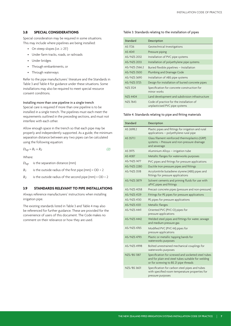### **3.8 SPECIAL CONSIDERATIONS**

Special consideration may be required in some situations. This may include where pipelines are being installed:

- On steep slopes (i.e.  $\geq$  25°)
- • Under farm tracks, roads, or railroads
- • Under bridges
- • Through embankments, or
- Through waterways

Refer to the pipe manufacturers' literature and the Standards in Table 3 and Table 4 for guidance under these situations. Some installations may also be required to meet special resource consent conditions.

#### Installing more than one pipeline in a single trench

Special care is required if more than one pipeline is to be installed in a single trench. The pipelines must each meet the requirements outlined in the preceding sections, and must not interfere with each other.

Allow enough space in the trench so that each pipe may be properly and independently supported. As a guide, the minimum separation distance between any two pipes can be calculated using the following equation:

$$
D_{sep} = R_1 + R_2 \tag{2}
$$

Where:

*Dsep* is the separation distance (mm)

 $R_1$  is the outside radius of the first pipe (mm) =  $OD \div 2$ 

 $R_2$  is the outside radius of the second pipe (mm) =  $OD \div 2$ 

### **3.9 STANDARDS RELEVANT TO PIPE INSTALLATIONS**

Always reference manufacturers' instructions when installing irrigation pipe.

The existing standards listed in Table 3 and Table 4 may also be referenced for further guidance. These are provided for the convenience of users of this document. The Code makes no comment on their relevance or how they are used.

#### Table 3: Standards relating to the installation of pipes

| Standard        | Description                                                                |
|-----------------|----------------------------------------------------------------------------|
| AS 1726         | Geotechnical Investigations                                                |
| AS 4041         | Pressure piping                                                            |
| AS/NZS 2032     | Installation of PVC pipe systems                                           |
| AS/NZS 2033     | Installation of polyethylene pipe systems                                  |
| AS/NZS 2566.2   | Buried flexible pipelines - Installation                                   |
| AS/NZS 3500     | Plumbing and Drainage Code                                                 |
| AS/NZS 3690     | Installation of ABS pipe systems                                           |
| AS/NZS 3725     | Design for installation of buried concrete pipes                           |
| <b>NZS 3124</b> | Specification for concrete construction for<br>minor works                 |
| <b>NZS 4404</b> | Land development and subdivision infrastructure                            |
| NZS 7643        | Code of practice for the installation of<br>unplasticised PVC pipe systems |

#### Table 4: Standards relating to pipe and fitting materials

| Standard          | Description                                                                                                                                       |
|-------------------|---------------------------------------------------------------------------------------------------------------------------------------------------|
| AS 2698.2         | Plastic pipes and fittings for irrigation and rural<br>applications - polyethylene rural pipe                                                     |
| AS 3571.1         | Glass filament reinforced thermoplastics (GRP)<br>systems - Pressure and non-pressure drainage<br>and sewerage                                    |
| AS 3975           | Aluminium Alloys - irrigation tube                                                                                                                |
| AS 4087           | Metallic flanges for waterworks purposes                                                                                                          |
| <b>AS/NZS1477</b> | PVC pipes and fittings for pressure applications                                                                                                  |
| AS/NZS 2280       | Ductile Iron pressure pipes and fittings                                                                                                          |
| AS/NZS 3518       | Acrylonitrile butadiene styrene (ABS) pipes and<br>fittings for pressure applications                                                             |
| AS/NZS 3879       | Solvent cements and priming fluids for use with<br>uPVC pipes and fittings                                                                        |
| AS/NZS 4058       | Precast concrete pipes (pressure and non-pressure)                                                                                                |
| AS/NZS 4129       | Fittings for PE pipes for pressure applications                                                                                                   |
| AS/NZS 4130       | PE pipes for pressure applications                                                                                                                |
| AS/NZS 4331       | Metallic flanges                                                                                                                                  |
| AS/NZS 4441       | Oriented PVC (PVC-O) pipes for<br>pressure applications                                                                                           |
| AS/NZS 4442       | Welded steel pipes and fittings for water, sewage<br>and medium pressure gas                                                                      |
| AS/NZS 4765       | Modified PVC (PVC-M) pipes for<br>pressure applications                                                                                           |
| AS/NZS 4793       | Plastic or metallic tapping bands for<br>waterworks purposes                                                                                      |
| AS/NZS 4998       | Bolted unrestrained mechanical couplings for<br>waterworks purposes                                                                               |
| NZS/BS1387        | Specification for screwed and socketed steel tubes<br>and for plain end steel tubes suitable for welding<br>or for screwing to BS 21 pipe threads |
| NZS/BS 3601       | Specification for carbon steel pipes and tubes<br>with specified room temperature properties for<br>pressure purposes                             |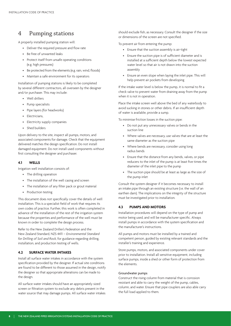### 4 Pumping stations

A properly installed pumping station will:

- • Deliver the required pressure and flow rate
- • Be free of unwanted leaks
- Protect itself from unsafe operating conditions (e.g. high pressures)
- Be protected from the elements (e.g. rain, wind, floods)
- • Maintain a safe environment for its operators

Installation of pumping stations is likely to be completed by several different contractors, all overseen by the designer and/or purchaser. This may include:

- • Well drillers
- • Pump specialists
- • Pipe layers (for headworks)
- Electricians,
- Electricity supply companies
- Shed builders

Upon delivery to the site, inspect all pumps, motors, and associated components for damage. Check that the equipment delivered matches the design specification. Do not install damaged equipment. Do not install used components without first consulting the designer and purchaser.

### **4.1 WELLS**

Irrigation well installation consists of:

- The drilling operation
- The installation of the well casing and screen
- The installation of any filter pack or grout material
- • Production testing

This document does not specifically cover the details of well installation. This is a specialist field of work that requires its own codes of practice. Further, this work is often completed in advance of the installation of the rest of the irrigation system because the properties and performance of the well must be known in order to complete the design process.

Refer to the New Zealand Driller's Federation and the New Zealand Standard, NZS 4411 – *Environmental Standard for Drilling of Soil and Rock*, for guidance regarding drilling, installation, and production testing of wells.

### **4.2 SURFACE WATER INTAKES**

Install all surface water intakes in accordance with the system specification provided by the designer. If actual site conditions are found to be different to those assumed in the design, notify the designer so that appropriate alterations can be made to the design.

All surface water intakes should have an appropriately sized screen or filtration system to exclude any debris present in the water source that may damage pumps. All surface water intakes should exclude fish, as necessary. Consult the designer if the size or dimensions of the screen are not specified.

To prevent air from entering the pump:

- • Ensure that the suction assembly is air-tight
- • Ensure the suction pipe is of sufficient diameter and is installed at a sufficient depth below the lowest expected water level so that air is not drawn into the suction assembly
- Ensure an even slope when laying the inlet pipe. This will help prevent air pockets from developing

If the intake water level is below the pump, it is normal to fit a check valve to prevent water from draining away from the pump when it is not in operation.

Place the intake screen well above the bed of any waterbody to avoid sucking in stones or other debris. If an insufficient depth of water is available, provide a sump.

To minimise friction losses in the suction pipe:

- • Do not put any unnecessary valves or bends in the suction line
- Where valves are necessary, use valves that are at least the same diameter as the suction pipe
- Where bends are necessary, consider using long radius bends
- Ensure that the distance from any bends, valves, or pipe reducers to the inlet of the pump is at least five times the diameter of the inlet pipe to the pump
- The suction pipe should be at least as large as the size of the pump inlet

Consult the system designer if it becomes necessary to install an intake pipe through an existing structure (i.e. the wall of an earthen dam). The implications on the integrity of the structure must be investigated prior to installation.

### **4.3 PUMPS AND MOTORS**

Installation procedures will depend on the type of pump and motor being used, and will be manufacturer specific. Always install pumps in accordance with the system specification and the manufacturer's instructions.

All pumps and motors must be installed by a trained and competent person, guided by existing relevant standards and the installer's training and experience.

Store pumps, motors, and associated components under cover prior to installation. Install all sensitive equipment, including surface pumps, inside a shed or other form of protection from the elements.

### Groundwater pumps

Construct the rising column from material that is corrosion resistant and able to carry the weight of the pump, cables, column, and water. Ensure that pipe couplers are also able carry the full load applied to them.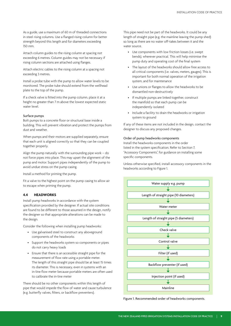As a guide, use a maximum of 60 m of threaded connections in steel rising columns. Use a flanged rising column for better strength beyond this length and for diameters exceeding 150 mm.

Attach column guides to the rising column at spacing not exceeding 6 metres. Column guides may not be necessary if rising column sections are attached using flanges.

Attach electric cables to the rising column at a spacing not exceeding 3 metres.

Install a probe tube with the pump to allow water levels to be monitored. The probe tube should extend from the wellhead plate to the top of the pump.

If a check valve is fitted into the pump column, place it at a height no greater than 7 m above the lowest expected static water level.

### Surface pumps

Bolt pumps to a concrete floor or structural base inside a building. This will prevent vibration and protect the pumps from dust and weather.

When pumps and their motors are supplied separately, ensure that each unit is aligned correctly so that they can be coupled together properly.

Align the pump naturally with the surrounding pipe work – do not force pipes into place. This may upset the alignment of the pump and motor. Support pipes independently of the pump to avoid undue stress on the pump casing.

Install a method for priming the pump.

Fit a valve to the highest point on the pump casing to allow air to escape when priming the pump.

### **4.4 HEADWORKS**

Install pump headworks in accordance with the system specification provided by the designer. If actual site conditions are found to be different to those assumed in the design, notify the designer so that appropriate alterations can be made to the design.

Consider the following when installing pump headworks:

- • Use galvanised steel to construct any aboveground components of the headworks
- • Support the headworks system so components or pipes do not carry heavy loads
- • Ensure that there is an accessible straight pipe for the measurement of flow rate using a portable meter. The length of this straight pipe should be at least 15 times its diameter. This is necessary, even in systems with an in-line flow meter because portable meters are often used to calibrate the in-line meter

There should be no other components within this length of pipe that would impede the flow of water and cause turbulence (e.g. butterfly valves, filters, or backflow preventers).

This pipe need not be part of the headworks. It could be any length of straight pipe (e.g. the mainline leaving the pump shed) so long as there are no water off-takes between it and the water source.

- Use components with low friction losses (i.e. swept bends), wherever practical. This will help minimise the pump duty and operating cost of the final system
- The layout of the headworks should allow free access to all critical components (i.e. valves, meters, gauges). This is important for both normal operation of the irrigation system, and for maintenance
- Use unions or flanges to allow the headworks to be dismantled non-destructively
- If multiple pumps are linked together, construct the manifold so that each pump can be independently isolated
- Include a facility to drain the headworks or irrigation system to ground

If any of these items are not included in the design, contact the designer to discuss any proposed changes.

### Order of pump headworks components

Install the headworks components in the order listed in the system specification. Refer to Section 7, "Accessory Components", for guidance on installing some specific components.

Unless otherwise specified, install accessory components in the headworks according to Figure 1.



Figure 1. Recommended order of headworks components.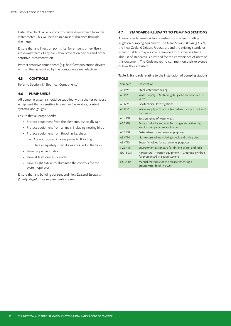Install the check valve and control valve downstream from the water meter. This will help to minimise turbulence through the meter.

Ensure that any injection points (i.e. for effluent or fertiliser) are downstream of any back flow prevention devices and other sensitive instrumentation.

Protect sensitive components (e.g. backflow prevention devices) with a filter, as required by the component's manufacturer.

### **4.5 CONTROLS**

Refer to Section 5, "Electrical Components".

### **4.6 PUMP SHEDS**

All pumping systems should be supplied with a shelter to house equipment that is sensitive to weather (i.e. motors, control systems, and gauges).

Ensure that all pump sheds:

- • Protect equipment from the elements, especially rain
- • Protect equipment from animals, including nesting birds
- • Protect equipment from flooding, i.e. sheds:
	- Are not located in areas prone to flooding
	- Have adequately sized drains installed in the floor
- • Have proper ventilation
- • Have at least one 230V outlet
- • Have a light fixture to illuminate the controls for the system operator

Ensure that any building consent and New Zealand *Electrical (Safety) Regulations* requirements are met.

### **4.7 STANDARDS RELEVANT TO PUMPING STATIONS**

Always refer to manufacturers' instructions when installing irrigation pumping equipment. The *New Zealand Building Code*, the New Zealand Drillers Federation, and the existing standards listed in Table 5 may also be referenced for further guidance. This list of standards is provided for the convenience of users of this document. The Code makes no comment on their relevance or how they are used.

#### Table 5: Standards relating to the installation of pumping stations

| Standard         | Description                                                                                 |
|------------------|---------------------------------------------------------------------------------------------|
| AS 1396          | Steel water bore casing                                                                     |
| AS 1628          | Water supply – Metallic gate, globe and non-return<br>valves                                |
| AS 1726          | Geotechnical Investigations                                                                 |
| AS 1910          | Water supply – Float control valves for use in hot and<br>cold water                        |
| AS 2368          | Test pumping of water wells                                                                 |
| AS 2528          | Bolts, studbolts and nuts for flanges and other high<br>and low temperature applications    |
| AS 2638          | Gate valves for waterworks purposes                                                         |
| AS 4794          | Non-return valves - Swing check and tilting disc                                            |
| AS 4795          | Butterfly valves for waterworks purposes                                                    |
| <b>NZS 4411</b>  | Environmental standard for drilling of soil and rock                                        |
| <b>ISO 15081</b> | Agricultural irrigation equipment - Graphical symbols<br>for pressurised irrigation systems |
| <b>ISO 21413</b> | Manual methods for the measurement of a<br>groundwater level in a well                      |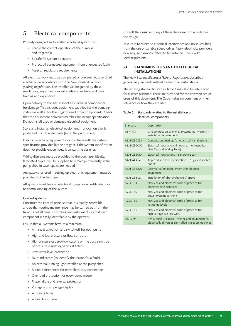### 5 Electrical components

Properly designed and installed electrical systems will:

- Enable the correct operation of the pump(s) and irrigator(s)
- • Be safe for system operators
- • Protect all connected equipment from unexpected faults
- Meet all regulatory requirements

All electrical work must be completed or overseen by a certified electrician in accordance with the New Zealand *Electrical (Safety) Regulations*. The installer will be guided by these regulations, any other relevant existing standards, and their training and experience.

Upon delivery to the site, inspect all electrical components for damage. This includes equipment supplied for the pumping station as well as for the irrigators and other components. Check that the equipment delivered matches the design specification. Do not install used or damaged electrical equipment.

Store and install all electrical equipment in a location that is protected from the elements (i.e. in the pump shed).

Install all electrical equipment in accordance with the system specification provided by the designer. If the system specification does not provide enough detail, consult the designer.

Wiring diagrams must be provided to the purchaser. Ideally, laminated copies will be supplied to remain permanently in the pump shed in case repairs are needed.

Any passwords used in setting up electronic equipment must be provided to the Purchaser.

All systems must have an electrical compliance certificate prior to commissioning of the system.

#### Control systems

Construct the control panel so that it is readily accessible and so that routine maintenance may be carried out from the front. Label all panels, switches, and instruments so that each component is easily identifiable by the operator.

Ensure that all systems have, at a minimum:

- • A manual switch-on and switch-off for each pump
- High and low pressure or flow cut-outs
- High pressure or zero-flow cutoffs on the upstream side of pressure regulating valves, if fitted
- • Low water level protection
- • Fault indicators (to identify the reason for a fault)
- An external running light installed at the pump shed
- A circuit disconnect for each electricity connection
- • Overload protection for every pump motor
- Phase failure and reversal protection
- Voltage and amperage display
- A running timer
- A total hour meter

Consult the designer if any of these items are not included in the design.

Take care to minimise electrical interference and noise resulting from the use of variable speed drives. Many electricity providers now require harmonic filters to be installed. Check with local regulations.

### **5.1 STANDARDS RELEVANT TO ELECTRICAL INSTALLATIONS**

The New Zealand *Electrical (Safety) Regulations* describes general requirements related to electrical installations.

The existing standards listed in Table 6 may also be referenced for further guidance. These are provided for the convenience of users of this document. The Code makes no comment on their relevance or how they are used.

### Table 6: Standards relating to the installation of electrical components

| Standard            | Description                                                                                                 |
|---------------------|-------------------------------------------------------------------------------------------------------------|
| AS 4777.1           | Grid connection of energy systems via inverters -<br>installation requirements                              |
| AS/NZS 2053         | Conduits and fittings for electrical installations                                                          |
| AS/NZS 3000         | Electrical installations (known as the Australia/<br>New Zealand Wiring Rules)                              |
| AS/NZS 3010         | Electrical installations - generating sets                                                                  |
| AS/NZS 3112         | Approval and test specification - Plugs and socket-<br>outlets                                              |
| AS/NZS 3820         | Essential safety requirements for electrical<br>equipment                                                   |
| AS/NZS 5033         | Installation of photovoltaic (PV) arrays                                                                    |
| NZECP <sub>34</sub> | New Zealand electrical code of practice for<br>electrical safe distances                                    |
| NZECP <sub>35</sub> | New Zealand electrical code of practice for<br>power systems earthing                                       |
| NZECP <sub>36</sub> | New Zealand electrical code of practice for<br>harmonic levels                                              |
| NZECP <sub>46</sub> | New Zealand electrical code of practice for<br>high voltage live line work                                  |
| <b>ISO 12734</b>    | Agricultural irrigation - Wiring and equipment for<br>electrically driven or controlled irrigation machines |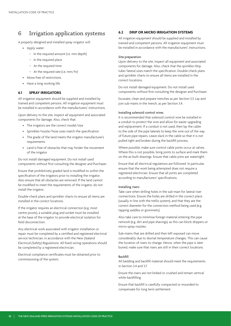### 6 Irrigation application systems

A properly designed and installed spray irrigator will:

- • Apply water:
	- In the required amount (i.e. mm depth)
	- In the required place
	- At the required time
	- At the required rate (i.e. mm/hr)
- Move free of restrictions
- Have a long working life

### **6.1 SPRAY IRRIGATORS**

All irrigation equipment should be supplied and installed by trained and competent persons. All irrigation equipment must be installed in accordance with the manufacturers' instructions.

Upon delivery to the site, inspect all equipment and associated components for damage. Also, check that:

- The irrigators are the correct model/size
- Sprinkler/nozzle/hose sizes match the specification
- The grade of the land meets the irrigator manufacturer's requirements
- Land is free of obstacles that may hinder the movement of the irrigator

Do not install damaged equipment. Do not install used components without first consulting the designer and Purchaser.

Ensure that prohibitively graded land is modified to within the specification of the irrigators prior to installing the irrigator. Also ensure that all obstacles are removed. If the land cannot be modified to meet the requirements of the irrigator, do not install the irrigator.

Double-check plans and sprinkler charts to ensure all items are installed in the correct locations.

If the irrigator requires an electrical connection (e.g. most centre pivots), a suitable plug and socket must be installed at the base of the irrigator to provide electrical isolation for field disconnection.

Any electrical work associated with irrigator installation or repair must be completed by a certified and registered electrical service technician, in accordance with the New Zealand *Electrical (Safety) Regulations*. All fixed-wiring operations should be completed by a registered electrician.

Electrical compliance certificates must be obtained prior to commissioning of the system.

### **6.2 DRIP OR MICRO IRRIGATION SYSTEMS**

All irrigation equipment should be supplied and installed by trained and competent persons. All irrigation equipment must be installed in accordance with the manufacturers' instructions.

### Site preparation

Upon delivery to the site, inspect all equipment and associated components for damage. Also, check that the sprinkler/drip tube/lateral sizes match the specification. Double-check plans and sprinkler charts to ensure all items are installed in the correct locations.

Do not install damaged equipment. Do not install used components without first consulting the designer and Purchaser.

Excavate, clean and prepare trenches as per Section 3.3. Lay and join sub-mains in the trench, as per Section 3.4.

### Installing solenoid control wires

It is recommended that solenoid control wire be installed in a conduit to protect the wire and allow for easier upgrading and replacement. If a conduit is not used, then lay the cable to the side of the pipe laterals to keep the wire out of the way of future pipe repairs. Leave slack in the cable so that it is not pulled tight and broken during the backfill process.

Where possible, make sure control cable joints occur at valves. Where this is not possible, bring joints to surface and mark them on the as-built drawings. Ensure that cable joins are watertight.

Ensure that all electrical regulations are followed. In particular, ensure that the work being attempted does not require a registered electrician. Ensure that all joints are completed according to manufacturers' specifications.

### Installing risers

Take care when drilling holes in the sub-main for lateral riser connections. Ensure the holes are drilled in the correct place (usually in line with the trellis system), and that they are the correct diameter for the connection method being used (e.g. tapping saddles or grommets).

Also take care to minimise foreign material entering the pipe network (e.g. dirt and pipe shavings), as this can block drippers or micro-spray nozzles.

Sub-mains that are drilled and then left exposed can move considerably due to diurnal temperature changes. This can cause the location of risers to change. Hence, when the pipe is later buried, make sure that risers are still in their correct locations.

### Backfill

All bedding and backfill material should meet the requirements in Section 3.4 and 3.7.

Ensure the risers are not kinked or crushed and remain vertical while backfilling.

Ensure that backfill is carefully compacted or mounded to compensate for long term settlement.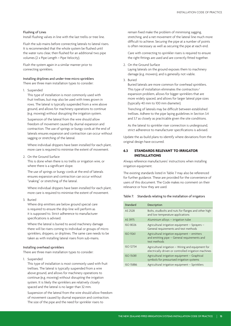#### Flushing of Lines

Install flushing valves in line with the last trellis or tree line.

Flush the sub-mains before connecting laterals to lateral risers. It is recommended that the whole system be flushed until the water runs clear, then flushed for an additional two pipe volumes (2 x Pipe Length ÷ Pipe Velocity).

Flush the system again in a similar manner prior to connecting sprinklers.

### Installing driplines and under-tree micro sprinklers

There are three main installation types to consider:

1. Suspended

This type of installation is most commonly used with fruit trellises, but may also be used with trees grown in rows. The lateral is typically suspended from a wire above ground, and allows for machinery operations to continue (e.g. mowing) without disrupting the irrigation system.

Suspension of the lateral from the wire should allow freedom of movement caused by diurnal expansion and contraction. The use of springs or bungy cords at the end of laterals ensures expansion and contraction can occur without sagging or stretching of the lateral.

Where individual drippers have been installed for each plant, more care is required to minimise the extent of movement.

2. On the Ground Surface

This is done when there is no trellis or irrigation wire, or where there is a significant slope.

The use of springs or bungy cords at the end of laterals ensures expansion and contraction can occur without "snaking" or stretching of the lateral.

Where individual drippers have been installed for each plant, more care is required to minimise the extent of movement.

3. Buried

Where drip emitters are below ground special care is required to ensure the drip-line will perform as it is supposed to. Strict adherence to manufacturer specifications is advised.

Where the lateral is buried to avoid machinery damage there will be risers coming to individual or groups of micro sprinklers, drippers, or driplines. The same care needs to be taken as with installing lateral risers from sub-mains.

#### Installing overhead sprinklers

There are three main installation types to consider:

1. Suspended

This type of installation is most commonly used with fruit trellises. The lateral is typically suspended from a wire above ground, and allows for machinery operations to continue (e.g. mowing) without disrupting the irrigation system. It is likely the sprinklers are relatively closely spaced and the lateral is no larger than 32 mm.

Suspension of the lateral from the wire should allow freedom of movement caused by diurnal expansion and contraction. The size of the pipe and the need for sprinkler risers to

remain fixed make the problem of minimising sagging, stretching, and a net movement of the lateral line much more difficult to achieve. Securing the pipe at a number of points is often necessary as well as securing the pipe at each end.

Care with connecting to sprinkler risers is required to ensure the right fittings are used and are correctly fitted together.

2. On the Ground Surface

Laying laterals on the ground exposes them to machinery damage (e.g. mowers), and is generally not viable.

3. Buried

Buried laterals are more common for overhead sprinklers. This type of installation eliminates the contraction/ expansion problem, allows for bigger sprinklers that are more widely spaced, and allows for larger lateral pipe sizes (typically 40 mm to 100 mm diameter).

Trenching of laterals may be difficult between established trellises. Adhere to the pipe laying guidelines in Section 3.4 and 3.7 as closely as practicable given the site conditions.

As the lateral to sprinkler riser connection is underground, strict adherence to manufacturer specifications is advised.

Update the as-build plans to identify where deviations from the original design have occurred.

### **6.3 STANDARDS RELEVANT TO IRRIGATOR INSTALLATIONS**

Always reference manufacturers' instructions when installing irrigation equipment.

The existing standards listed in Table 7 may also be referenced for further guidance. These are provided for the convenience of users of this document. The Code makes no comment on their relevance or how they are used.

#### Table 7: Standards relating to the installation of irrigators

| Standard         | Description                                                                                                  |
|------------------|--------------------------------------------------------------------------------------------------------------|
| AS 2528          | Bolts, studbolts and nuts for flanges and other high<br>and low temperature applications                     |
| AS 3975          | Aluminium alloys - irrigation tube                                                                           |
| <b>ISO 8026</b>  | Agricultural irrigation equipment - Sprayers -<br>General requirements and test methods                      |
| <b>ISO 9261</b>  | Agricultural irrigation equipment - emitters<br>and emitting pipe - General requirements and<br>test methods |
| <b>ISO 12734</b> | Agricultural irrigation - Wiring and equipment for<br>electrically driven or controlled irrigation machines  |
| <b>ISO 15081</b> | Agricultural irrigation equipment - Graphical<br>symbols for pressurised irrigation systems                  |
| <b>ISO 15886</b> | Agricultural irrigation equipment - Sprinklers                                                               |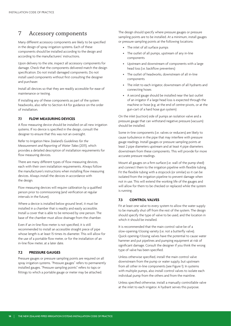### 7 Accessory components

Many different accessory components are likely to be specified in the design of spray irrigation systems. Each of these components should be installed according to the design and according to the manufacturers' instructions.

Upon delivery to the site, inspect all accessory components for damage. Check that the components delivered match the design specification. Do not install damaged components. Do not install used components without first consulting the designer and purchaser.

Install all devices so that they are readily accessible for ease of maintenance or testing.

If installing any of these components as part of the system headworks, also refer to Section 4.4 for guidance on the order of installation.

### **7.1 FLOW MEASURING DEVICES**

A flow measuring device should be installed on all new irrigation systems. If no device is specified in the design, consult the designer to ensure that this was not an oversight.

Refer to Irrigation New Zealand's *Guidelines for the Measurement and Reporting of Water Takes* (2011), which provides a detailed description of installation requirements for flow measuring devices.

There are many different types of flow measuring devices, each with their own installation requirements. Always follow the manufacturer's instructions when installing flow measuring devices. Always install the devices in accordance with the design.

Flow measuring devices will require calibration by a qualified person prior to commissioning (and verification at regular intervals in the future).

Where a device is installed below ground level, it must be installed in a chamber that is readily and easily accessible. Install a cover that is able to be removed by one person. The base of the chamber must allow drainage from the chamber.

Even if an in-line flow meter is not specified, it is still recommended to install an accessible straight piece of pipe whose length is at least 15 times its diameter. This will allow for the use of a portable flow meter, or for the installation of an in-line flow meter, at a later date.

### **7.2 PRESSURE GAUGES**

Pressure gauges or pressure sampling points are required on all spray irrigation systems. "Pressure gauges" refers to permanently installed gauges. "Pressure sampling points" refers to taps or fittings to which a portable gauge or meter may be attached.

The design should specify where pressure gauges or pressure sampling points are to be installed. At a minimum, install gauges or pressure sampling points at the following locations:

- • The inlet of all surface pumps
- The outlet of all pumps, upstream of any in-line components
- • Upstream and downstream of components with a large head loss (i.e. backflow preventers)
- • The outlet of headworks, downstream of all in-line components
- The inlet to each irrigator, downstream of all hydrants and connecting hoses
- A second gauge should be installed near the last outlet of an irrigator if a large head loss is expected through the machine or hose (e.g. at the end of centre-pivots, or at the gun-cart of a hard hose gun system)

On the inlet (suction) side of pumps an isolation valve and a pressure gauge that can withstand negative pressure (vacuum) should be installed.

Some in-line components (i.e. valves or reducers) are likely to cause turbulence in the pipe that may interfere with pressure gauge readings. Install gauges or pressure sampling points at least 2 pipe diameters upstream and at least 4 pipe diameters downstream from these components. This will provide for more accurate pressure readings.

Mount all gauges on a firm surface (i.e. wall of the pump shed) and connect them to the irrigation pipeline with flexible tubing. Fit the flexible tubing with a stopcock (or similar) so it can be isolated from the irrigation pipeline to prevent damage when not in use. This will extend the working life of the gauges and will allow for them to be checked or replaced while the system is running.

### **7.3 CONTROL VALVES**

Fit at least one valve to every system to allow the water supply to be manually shut off from the rest of the system. The design should specify the type of valve to be used, and the location in which it should be installed.

It is recommended that the main control valve be of a slow-opening/closing variety (i.e. not a butterfly valve). Quick opening/closing valves have the potential to cause water hammer and put pipelines and pumping equipment at risk of significant damage. Consult the designer if you think the wrong type of valve has been specified.

Unless otherwise specified, install the main control valve downstream from the pump or water supply, but upstream from all other in-line components (see Figure 1). In systems with multiple pumps, also install control valves to isolate each individual pump from the others and from the mainline.

Unless specified otherwise, install a manually controllable valve at the inlet to each irrigator. A hydrant serves this purpose.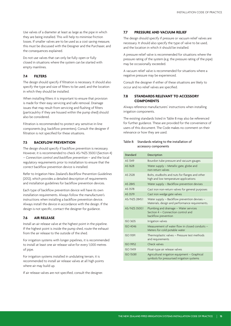Use valves of a diameter at least as large as the pipe in which they are being installed. This will help to minimise friction losses. If smaller valves are to be used as a cost saving measure, this must be discussed with the Designer and the Purchaser, and the consequences explained.

Do not use valves that can only be fully open or fully closed in situations where the system can be started with empty mainlines.

### **7.4 FILTERS**

The design should specify if filtration is necessary. It should also specify the type and size of filters to be used, and the location in which they should be installed.

When installing filters it is important to ensure that provision is made for their easy servicing and safe removal. Drainage issues that may result from servicing and flushing of filters (particaulrlry if they are housed within the pump shed) should also be considered.

Filtration is recommended to protect any sensitive in-line components (e.g. backflow preventers). Consult the designer if filtration is not specified for these situations.

### **7.5 BACKFLOW PREVENTION**

The design should specify if backflow prevention is necessary. However, it is recommended to check AS/NZS 3500.1 (Section 4) – *Connection control and backflow prevention* – and the local regulatory requirements prior to installation to ensure that the correct backflow prevention device is installed.

Refer to Irrigation New Zealand's *Backflow Prevention Guidelines* (2012), which provides a detailed description of requirements and installation guidelines for backflow prevention devices.

Each type of backflow prevention device will have its own installation requirements. Always follow the manufacturer's instructions when installing a backflow prevention device. Always install the device in accordance with the design. If the design is not specific, contact the designer for guidance.

### **7.6 AIR RELEASE**

Install an air release valve at the highest point in the pipeline. If the highest point is inside the pump shed, route the exhaust from the air release to the outside of the shed.

For irrigation systems with longer pipelines, it is recommended to install at least one air release valve for every 1,000 metres of pipe.

For irrigation systems installed in undulating terrain, it is recommended to install air release valves at all high points where air may build up.

If air release valves are not specified, consult the designer.

### **7.7 PRESSURE AND VACUUM RELIEF**

The design should specify if pressure or vacuum relief valves are necessary. It should also specify the type of valve to be used, and the location in which it should be installed.

A pressure relief valve is recommended for situations where the pressure rating of the system (e.g. the pressure rating of the pipe) may be occasionally exceeded.

A vacuum relief valve is recommended for situations where a negative pressure may be experienced.

Consult the designer if either of these situations are likely to occur and no relief valves are specified.

### **7.8 STANDARDS RELEVANT TO ACCESSORY COMPONENTS**

Always reference manufacturers' instructions when installing irrigation components.

The existing standards listed in Table 8 may also be referenced for further guidance. These are provided for the convenience of users of this document. The Code makes no comment on their relevance or how they are used.

### Table 8: Standards relating to the installation of accessory components

| Standard         | Description                                                                                         |
|------------------|-----------------------------------------------------------------------------------------------------|
| AS 1349          | Bourdon tube pressure and vacuum gauges                                                             |
| AS 1628          | Water supply – Metallic gate, globe and<br>non-return valves                                        |
| AS 2528          | Bolts, studbolts and nuts for flanges and other<br>high and low temperature applications            |
| AS 2845          | Water supply - Backflow prevention devises                                                          |
| AS 3578          | Cast iron non-return valves for general purposes                                                    |
| AS 3579          | Cast iron wedge gate valves                                                                         |
| AS/NZS 2845.1    | Water supply - Backflow prevention devises -<br>Materials, design and performance requirements.     |
| AS/NZS 3500.1    | Plumbing and drainage - Water services<br>Section 4 – Connection control and<br>backflow prevention |
| <b>ISO 3635</b>  | Irrigation valves                                                                                   |
| <b>ISO 4046</b>  | Measurement of water flow in closed conduits -<br>Meters for cold potable water                     |
| <b>ISO 9391</b>  | Thermoplastic valves - Pressure test methods<br>and requirements                                    |
| <b>ISO 9952</b>  | Check valves                                                                                        |
| <b>ISO 11419</b> | Float-type air release valves                                                                       |
| <b>ISO 15081</b> | Agricultural irrigation equipment - Graphical<br>symbols for pressurised irrigation systems         |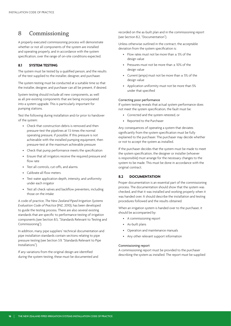### 8 Commissioning

A properly executed commissioning process will demonstrate whether or not all components of the system are installed and operating properly, and in accordance with the system specification, over the range of on-site conditions expected.

### **8.1 SYSTEM TESTING**

The system must be tested by a qualified person, and the results of the test supplied to the installer, designer, and purchaser.

The system testing must be conducted at a suitable time so that the installer, designer, and purchaser can all be present, if desired.

System testing should include all new components, as well as all pre-existing components that are being incorporated into a system upgrade. This is particularly important for pumping stations.

Test the following during installation and/or prior to handover of the system:

- Check that construction debris is removed and then pressure-test the pipelines at 1.5 times the normal operating pressure, if possible. If this pressure is not achievable with the installed pumping equipment, then pressure-test at the maximum achievable pressure
- Check that pump performance meets the specification
- • Ensure that all irrigators receive the required pressure and flow rate
- • Test all controls, cut-offs, and alarms
- • Calibrate all flow meters
- • Test water application depth, intensity, and uniformity under each irrigator
- Test all check valves and backflow preventers, including those on the intake

A code of practice, *The New Zealand Piped Irrigation Systems Evaluation Code of Practice* (INZ, 2010), has been developed to guide the testing process. There are also several existing standards that are specific to performance testing of irrigation components (see Section 8.5, "Standards Relevant to Testing and Commissioning").

In addition, many pipe suppliers' technical documentation and pipe installation standards contain sections relating to pipe pressure testing (see Section 3.9, "Standards Relevant to Pipe Installations").

If any variations from the original design are identified during the system testing, these must be documented and recorded on the as-built plan and in the commissioning report (see Section 8.2, "Documentation").

Unless otherwise outlined in the contract, the acceptable deviation from the system specification is:

- Flow rates must not be more than  $\pm$  5% of the design value
- Pressures must not be more than  $\pm$  10% of the design value
- Current (amps) must not be more than  $\pm$  5% of the design value
- Application uniformity must not be more than 5% under that specified

#### Correcting poor performance

If system testing reveals that actual system performance does not meet the system specification, the fault must be:

- • Corrected and the system retested, or
- Reported to the Purchaser

Any consequences of operating a system that deviates significantly from the system specification must be fully explained to the purchaser. The purchaser may decide whether or not to accept the system as installed.

If the purchaser decides that the system must be made to meet the system specification, the designer or installer (whoever is responsible) must arrange for the necessary changes to the system to be made. This must be done in accordance with the original contract.

### **8.2 DOCUMENTATION**

Proper documentation is an essential part of the commissioning process. The documentation should show that the system was checked, and that it was installed and working properly when it was handed over. It should describe the installation and testing procedures followed and the results obtained.

When an irrigation system is handed over to the purchaser, it should be accompanied by:

- • A commissioning report
- As-built plans
- Operation and maintenance manuals
- • Any other relevant support information

### Commissioning report

A commissioning report must be provided to the purchaser describing the system as installed. The report must be supplied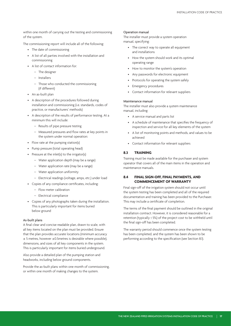within one month of carrying out the testing and commissioning of the system.

The commissioning report will include all of the following:

- The date of commissioning
- A list of all parties involved with the installation and commissioning
- • A list of contact information for:
	- The designer
	- Installers
	- Those who conducted the commissioning (if different)
- • An as-built plan
- • A description of the procedures followed during installation and commissioning (i.e. standards, codes of practice, or manufacturers' methods)
- • A description of the results of performance testing. At a minimum this will include:
	- Results of pipe pressure testing
	- Measured pressures and flow rates at key points in the system under normal operation:
- Flow rate at the pumping station(s)
- • Pump pressure (total operating head)
- • Pressure at the inlet(s) to the irrigator(s)
	- Water application depth (may be a range)
	- Water application rate (may be a range)
	- Water application uniformity
	- Electrical readings (voltage, amps, etc.) under load
- • Copies of any compliance certificates, including:
	- Flow meter calibration
	- Electrical compliance
- • Copies of any photographs taken during the installation. This is particularly important for items buried below ground

#### As-built plans

A final clear and concise readable plan, drawn to scale, with all key items located on the plan must be provided. Ensure that the plan provides accurate locations (minimum accuracy ± 5 metres, however ±0.5metres is desirable where possible), dimensions, and sizes of all key components in the system. This is particularly important for items buried underground.

Also provide a detailed plan of the pumping station and headworks, including below ground components.

Provide the as-built plans within one month of commissioning, or within one month of making changes to the system.

#### Operation manual

The installer must provide a system operation manual, specifying:

- The correct way to operate all equipment and installations
- How the system should work and its optimal operating range
- How to monitor the system's operation
- Any passwords for electronic equipment
- Protocols for operating the system safely
- **Emergency procedures**
- • Contact information for relevant suppliers

#### Maintenance manual

The installer must also provide a system maintenance manual, including:

- • A service manual and parts list
- • A schedule of maintenance that specifies the frequency of inspection and service for all key elements of the system
- • A list of monitoring points and methods, and values to be achieved
- Contact information for relevant suppliers

### **8.3 TRAINING**

Training must be made available for the purchaser and system operator that covers all of the main items in the operation and maintenance manuals.

### **8.4 FINAL SIGN-OFF, FINAL PAYMENTS, AND COMMENCEMENT OF WARRANTY**

Final sign-off of the irrigation system should not occur until the system testing has been completed and all of the required documentation and training has been provided to the Purchaser. This may include a certificate of completion.

The terms of the final payment should be outlined in the original installation contract. However, it is considered reasonable for a retention (typically ≤ 5%) of the project cost to be withheld until the final sign-off has been completed.

The warranty period should commence once the system testing has been completed, and the system has been shown to be performing according to the specification (see Section 8.1).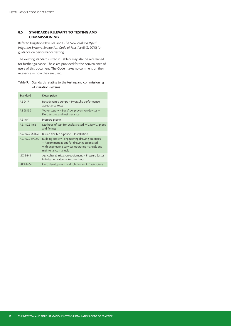### **8.5 STANDARDS RELEVANT TO TESTING AND COMMISSIONING**

Refer to Irrigation New Zealand's *The New Zealand Piped Irrigation Systems Evaluation Code of Practice* (INZ, 2010) for guidance on performance testing.

The existing standards listed in Table 9 may also be referenced for further guidance. These are provided for the convenience of users of this document. The Code makes no comment on their relevance or how they are used.

### Table 9: Standards relating to the testing and commissioning of irrigation systems

| Standard        | Description                                                                                                                                                             |
|-----------------|-------------------------------------------------------------------------------------------------------------------------------------------------------------------------|
| AS 2417         | Rotodynamic pumps - Hydraulic performance<br>acceptance tests                                                                                                           |
| AS 2845.3       | Water supply - Backflow prevention devises -<br>Field testing and maintenance                                                                                           |
| AS 4041         | Pressure piping                                                                                                                                                         |
| AS/NZS 1462     | Methods of test for unplasticised PVC (uPVC) pipes<br>and fittings                                                                                                      |
| AS/NZS 2566.2   | Buried flexible pipeline - Installation                                                                                                                                 |
| AS/NZS 5902.5   | Building and civil engineering drawing practices<br>- Recommendations for drawings associated<br>with engineering services operating manuals and<br>maintenance manuals |
| <b>ISO 9644</b> | Agricultural irrigation equipment - Pressure losses<br>in irrigation valves - test methods                                                                              |
| N7S4404         | Land development and subdivision infrastructure                                                                                                                         |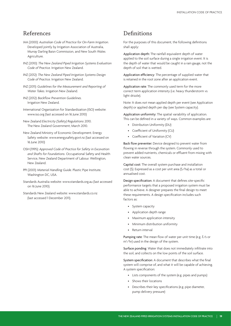### References

- IAA (2000): *Australian Code of Practice for On-Farm Irrigation*. Developed jointly by Irrigation Association of Australia, Murray Darling Baisn Commission, and New South Wales Agriculture.
- INZ (2010): *The New Zealand Piped Irrigation Systems Evaluation Code of Practice.* Irrigation New Zealand.
- INZ (2012): *The New Zealand Piped Irrigation Systems Design Code of Practice.* Irrigation New Zealand.
- INZ (2011): *Guidelines for the Measurement and Reporting of Water Takes*. Irrigation New Zealand.
- INZ (2012): *Backflow Prevention Guidelines.*  Irrigation New Zealand.
- International Organization for Standardization (ISO) website: www.iso.org (last accessed on 16 June 2010)
- New Zealand *Electricity (Safety) Regulations* 2010. The New Zealand Government, March 2010.
- New Zealand Ministry of Economic Development. Energy Safety website: www.energysafety.govt.nz (last accessed on 16 June 2010)
- OSH (1995): *Approved Code of Practice for Safety in Excavation and Shafts for Foundations*. Occupational Safety and Health Service, New Zealand Department of Labour. Wellington, New Zealand.
- PPI (2001): *Material Handling Guide*. Plastic Pipe Institute. Washington DC, USA.
- Standards Australia website: www.standards.org.au (last accessed on 16 June 2010).
- Standards New Zealand website: www.standards.co.nz (last accessed 1 December 2011).

### Definitions

For the purposes of this document, the following definitions shall apply:

Application depth: The rainfall equivalent depth of water applied to the soil surface during a single irrigation event. It is the depth of water that would be caught in a rain gauge, not the depth of soil that is wetted.

Application efficiency: The percentage of supplied water that is retained in the root zone after an application event.

Application rate: The commonly used term for the more correct term application intensity (i.e. heavy thunderstorm vs light drizzle).

Note: It does *not* mean applied depth per event (see Application depth) or applied depth per day (see System capacity).

Application uniformity: The spatial variability of application. This can be defined in a variety of ways. Common examples are:

- • Distribution Uniformity (DU)
- • Coefficient of Uniformity (CU)
- • Coefficient of Variation (CV)

Back flow preventer: Device designed to prevent water from flowing in reverse through the system. Commonly used to prevent added nutrients, chemicals or effluent from mixing with clean water sources.

Capital cost: The overall system purchase and installation cost (\$). Expressed as a cost per unit area (\$/ha) as a total or annualised cost.

Design specification: A document that defines site-specific performance targets that a proposed irrigation system must be able to achieve. A designer prepares the final design to meet these requirements. A design specification includes such factors as:

- System capacity
- • Application depth range
- • Maximum application intensity
- • Minimum distribution uniformity
- Return interval

Pumping rate: The mean flow of water per unit time (e.g.  $l/s$  or m3 /hr) used in the design of the system.

Surface ponding: Water that does not immediately infiltrate into the soil, and collects on the low points of the soil surface.

System specification: A document that describes what the final system will comprise of, and what it will be capable of achieving. A system specification:

- • Lists components of the system (e.g. pipes and pumps)
- Shows their locations
- • Describes their key specifications (e.g. pipe diameter, pump delivery pressure)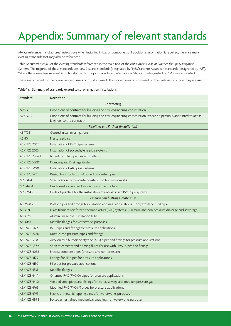## Appendix: Summary of relevant standards

Always reference manufactures' instructions when installing irrigation components. If additional information is required, there are many existing standards that may also be referenced.

Table 1A summarises all of the existing standards referenced in the main text of the *Installation Code of Practice for Spray Irrigation Systems*. The majority of these standards are New Zealand standards (designated by "NZS") and/or Australian standards (designated by "AS"). Where there were few relevant AS/NZS standards on a particular topic, International Standards (designated by "ISO") are also listed.

These are provided for the convenience of users of this document. The Code makes no comment on their relevance or how they are used.

| Standard        | Decription                                                                                                                                  |  |
|-----------------|---------------------------------------------------------------------------------------------------------------------------------------------|--|
| Contracting     |                                                                                                                                             |  |
| <b>NZS 3910</b> | Conditions of contract for building and civil engineering construction                                                                      |  |
| <b>NZS 3915</b> | Conditions of contract for building and civil engineering construction (where no person is appointed to act as<br>Engineer to the contract) |  |
|                 | Pipelines and Fittings (installation)                                                                                                       |  |
| AS 1726         | Geotechnical Investigations                                                                                                                 |  |
| AS 4041         | Pressure piping                                                                                                                             |  |
| AS/NZS 2032     | Installation of PVC pipe systems                                                                                                            |  |
| AS/NZS 2033     | Installation of polyethylene pipe systems                                                                                                   |  |
| AS/NZS 2566.2   | Buried flexible pipelines - Installation                                                                                                    |  |
| AS/NZS 3500     | Plumbing and Drainage Code                                                                                                                  |  |
| AS/NZS 3690     | Installation of ABS pipe systems                                                                                                            |  |
| AS/NZS 3725     | Design for installation of buried concrete pipes                                                                                            |  |
| <b>NZS 3124</b> | Specification for concrete construction for minor works                                                                                     |  |
| NZS 4404        | Land development and subdivision infrastructure                                                                                             |  |
| <b>NZS 7643</b> | Code of practice for the installation of unplasticised PVC pipe systems                                                                     |  |
|                 | Pipelines and Fittings (materials)                                                                                                          |  |
| AS 2698.2       | Plastic pipes and fittings for irrigation and rural applications - polyethylene rural pipe                                                  |  |
| AS 3571.1       | Glass filament reinforced thermoplastics (GRP) systems - Pressure and non-pressure drainage and sewerage                                    |  |
| AS 3975         | Aluminium Alloys - irrigation tube                                                                                                          |  |
| AS 4087         | Metallic flanges for waterworks purposes                                                                                                    |  |
| AS/NZS 1477     | PVC pipes and fittings for pressure applications                                                                                            |  |
| AS/NZS 2280     | Ductile Iron pressure pipes and fittings                                                                                                    |  |
| AS/NZS 3518     | Acrylonitrile butadiene styrene (ABS) pipes and fittings for pressure applications                                                          |  |
| AS/NZS 3879     | Solvent cements and priming fluids for use with uPVC pipes and fittings                                                                     |  |
| AS/NZS 4058     | Precast concrete pipes (pressure and non-pressure)                                                                                          |  |
| AS/NZS 4129     | Fittings for PE pipes for pressure applications                                                                                             |  |
| AS/NZS 4130     | PE pipes for pressure applications                                                                                                          |  |
| AS/NZS 4331     | Metallic flanges                                                                                                                            |  |
| AS/NZS 4441     | Oriented PVC (PVC-O) pipes for pressure applications                                                                                        |  |
| AS/NZS 4442     | Welded steel pipes and fittings for water, sewage and medium pressure gas                                                                   |  |
| AS/NZS 4765     | Modified PVC (PVC-M) pipes for pressure applications                                                                                        |  |
| AS/NZS 4793     | Plastic or metallic tapping bands for waterworks purposes                                                                                   |  |
| AS/NZS 4998     | Bolted unrestrained mechanical couplings for waterworks purposes                                                                            |  |

Table 1a: Summary of standards related to spray irrigation installations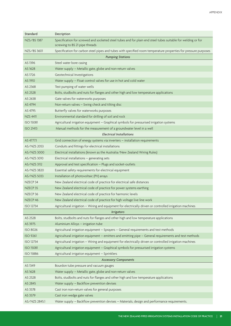| Standard                    | Decription                                                                                                                                     |  |
|-----------------------------|------------------------------------------------------------------------------------------------------------------------------------------------|--|
| NZS/BS 1387                 | Specification for screwed and socketed steel tubes and for plain end steel tubes suitable for welding or for<br>screwing to BS 21 pipe threads |  |
| NZS/BS 3601                 | Specification for carbon steel pipes and tubes with specified room temperature properties for pressure purposes                                |  |
|                             | <b>Pumping Stations</b>                                                                                                                        |  |
| AS 1396                     | Steel water bore casing                                                                                                                        |  |
| AS 1628                     | Water supply - Metallic gate, globe and non-return valves                                                                                      |  |
| AS 1726                     | Geotechnical Investigations                                                                                                                    |  |
| AS 1910                     | Water supply - Float control valves for use in hot and cold water                                                                              |  |
| AS 2368                     | Test pumping of water wells                                                                                                                    |  |
| AS 2528                     | Bolts, studbolts and nuts for flanges and other high and low temperature applications                                                          |  |
| AS 2638                     | Gate valves for waterworks purposes                                                                                                            |  |
| AS 4794                     | Non-return valves - Swing check and tilting disc                                                                                               |  |
| AS 4795                     | Butterfly valves for waterworks purposes                                                                                                       |  |
| <b>NZS 4411</b>             | Environmental standard for drilling of soil and rock                                                                                           |  |
| <b>ISO 15081</b>            | Agricultural irrigation equipment - Graphical symbols for pressurised irrigation systems                                                       |  |
| <b>ISO 21413</b>            | Manual methods for the measurement of a groundwater level in a well                                                                            |  |
|                             | <b>Electrical Installations</b>                                                                                                                |  |
| AS 4777.1                   | Grid connection of energy systems via inverters - installation requirements                                                                    |  |
| AS/NZS 2053                 | Conduits and fittings for electrical installations                                                                                             |  |
| AS/NZS 3000                 | Electrical installations (known as the Australia/New Zealand Wiring Rules)                                                                     |  |
| AS/NZS 3010                 | Electrical installations - generating sets                                                                                                     |  |
| AS/NZS 3112                 | Approval and test specification - Plugs and socket-outlets                                                                                     |  |
| AS/NZS 3820                 | Essential safety requirements for electrical equipment                                                                                         |  |
| AS/NZS 5033                 | Installation of photovoltaic (PV) arrays                                                                                                       |  |
| NZECP <sub>34</sub>         | New Zealand electrical code of practice for electrical safe distances                                                                          |  |
| NZECP <sub>35</sub>         | New Zealand electrical code of practice for power systems earthing                                                                             |  |
| NZECP <sub>36</sub>         | New Zealand electrical code of practice for harmonic levels                                                                                    |  |
| NZECP 46                    | New Zealand electrical code of practice for high voltage live line work                                                                        |  |
| <b>ISO 12734</b>            | Agricultural irrigation - Wiring and equipment for electrically driven or controlled irrigation machines                                       |  |
|                             | <b>Irrigators</b>                                                                                                                              |  |
| AS 2528                     | Bolts, studbolts and nuts for flanges and other high and low temperature applications                                                          |  |
| AS 3975                     | Aluminium Alloys - irrigation tube                                                                                                             |  |
| <b>ISO 8026</b>             | Agricultural irrigation equipment - Sprayers - General requirements and test methods                                                           |  |
| <b>ISO 9261</b>             | Agricultural irrigation equipment - emitters and emitting pipe - General requirements and test methods                                         |  |
| <b>ISO 12734</b>            | Agricultural irrigation - Wiring and equipment for electrically driven or controlled irrigation machines                                       |  |
| <b>ISO 15081</b>            | Agricultural irrigation equipment - Graphical symbols for pressurised irrigation systems                                                       |  |
| <b>ISO 15886</b>            | Agricultural irrigation equipment - Sprinklers                                                                                                 |  |
| <b>Accessory Components</b> |                                                                                                                                                |  |
| AS 1349                     | Bourdon tube pressure and vacuum gauges                                                                                                        |  |
| AS 1628                     | Water supply - Metallic gate, globe and non-return valves                                                                                      |  |
| AS 2528                     | Bolts, studbolts and nuts for flanges and other high and low temperature applications                                                          |  |
| AS 2845                     | Water supply - Backflow prevention devises                                                                                                     |  |
| AS 3578                     | Cast iron non-return valves for general purposes                                                                                               |  |
| AS 3579                     | Cast iron wedge gate valves                                                                                                                    |  |
| AS/NZS 2845.1               | Water supply - Backflow prevention devises - Materials, design and performance requirements.                                                   |  |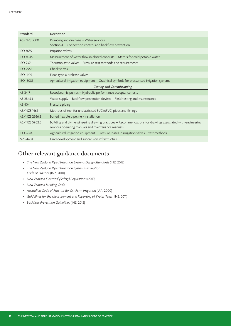| Standard                         | Decription                                                                                                                                                        |  |
|----------------------------------|-------------------------------------------------------------------------------------------------------------------------------------------------------------------|--|
| AS/NZS 3500.1                    | Plumbing and drainage - Water services<br>Section 4 – Connection control and backflow prevention                                                                  |  |
| <b>ISO 3635</b>                  | Irrigation valves                                                                                                                                                 |  |
| <b>ISO 4046</b>                  | Measurement of water flow in closed conduits - Meters for cold potable water                                                                                      |  |
| <b>ISO 9391</b>                  | Thermoplastic valves - Pressure test methods and requirements                                                                                                     |  |
| <b>ISO 9952</b>                  | Check valves                                                                                                                                                      |  |
| <b>ISO 11419</b>                 | Float-type air release valves                                                                                                                                     |  |
| <b>ISO 15081</b>                 | Agricultural irrigation equipment - Graphical symbols for pressurised irrigation systems                                                                          |  |
| <b>Testing and Commissioning</b> |                                                                                                                                                                   |  |
| AS 2417                          | Rotodynamic pumps - Hydraulic performance acceptance tests                                                                                                        |  |
| AS 2845.3                        | Water supply - Backflow prevention devises - Field testing and maintenance                                                                                        |  |
| AS 4041                          | Pressure piping                                                                                                                                                   |  |
| AS/NZS 1462                      | Methods of test for unplasticised PVC (uPVC) pipes and fittings                                                                                                   |  |
| AS/NZS 2566.2                    | Buried flexible pipeline - Installation                                                                                                                           |  |
| AS/NZS 5902.5                    | Building and civil engineering drawing practices – Recommendations for drawings associated with engineering<br>services operating manuals and maintenance manuals |  |
| <b>ISO 9644</b>                  | Agricultural irrigation equipment - Pressure losses in irrigation valves - test methods                                                                           |  |
| <b>NZS 4404</b>                  | Land development and subdivision infrastructure                                                                                                                   |  |

### Other relevant guidance documents

- • *The New Zealand Piped Irrigation Systems Design Standards* (INZ, 2012)
- • *The New Zealand Piped Irrigation Systems Evaluation Code of Practice* (INZ, 2010)
- • *New Zealand Electrical (Safety) Regulations* (2010)
- • *New Zealand Building Code*
- • *Australian Code of Practice for On-Farm Irrigation* (IAA, 2000)
- • *Guidelines for the Measurement and Reporting of Water Takes* (INZ, 2011)
- • *Backflow Prevention Guidelines* (INZ, 2012)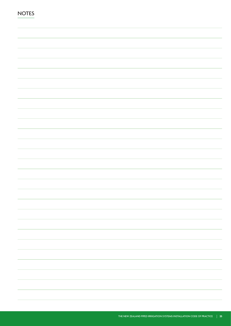| <b>NOTES</b> |  |
|--------------|--|
|              |  |
|              |  |
|              |  |
|              |  |
|              |  |
|              |  |
|              |  |
|              |  |
|              |  |
|              |  |
|              |  |
|              |  |
|              |  |
|              |  |
|              |  |
|              |  |
|              |  |
|              |  |
|              |  |
|              |  |
|              |  |
|              |  |
|              |  |
|              |  |
|              |  |
|              |  |
|              |  |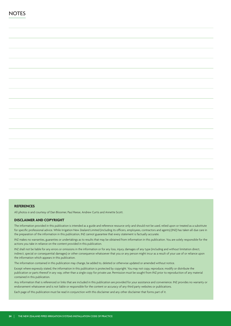### **REFERENCES**

All photos © and courtesy of Dan Bloomer, Paul Reese, Andrew Curtis and Annette Scott.

#### **DISCLAIMER AND COPYRIGHT**

The information provided in this publication is intended as a guide and reference resource only and should not be used, relied upon or treated as a substitute for specific professional advice. While Irrigation New Zealand Limited (including its officers, employees, contractors and agents) (INZ) has taken all due care in the preparation of the information in this publication, INZ cannot guarantee that every statement is factually accurate.

INZ makes no warranties, guaranties or undertakings as to results that may be obtained from information in this publication. You are solely responsible for the actions you take in reliance on the content provided in this publication.

INZ shall not be liable for any errors or omissions in the information or for any loss, injury, damages of any type (including and without limitation direct, indirect, special or consequential damages) or other consequence whatsoever that you or any person might incur as a result of your use of or reliance upon the information which appears in this publication.

The information contained in this publication may change, be added to, deleted or otherwise updated or amended without notice.

Except where expressly stated, the information in this publication is protected by copyright. You may not copy, reproduce, modify or distribute the publication or parts thereof in any way, other than a single copy for private use. Permission must be sought from INZ prior to reproduction of any material contained in this publication.

Any information that is referenced or links that are included in this publication are provided for your assistance and convenience. INZ provides no warranty or endorsement whatsoever and is not liable or responsible for the content or accuracy of any third party websites or publications.

Each page of this publication must be read in conjunction with this disclaimer and any other disclaimer that forms part of it.